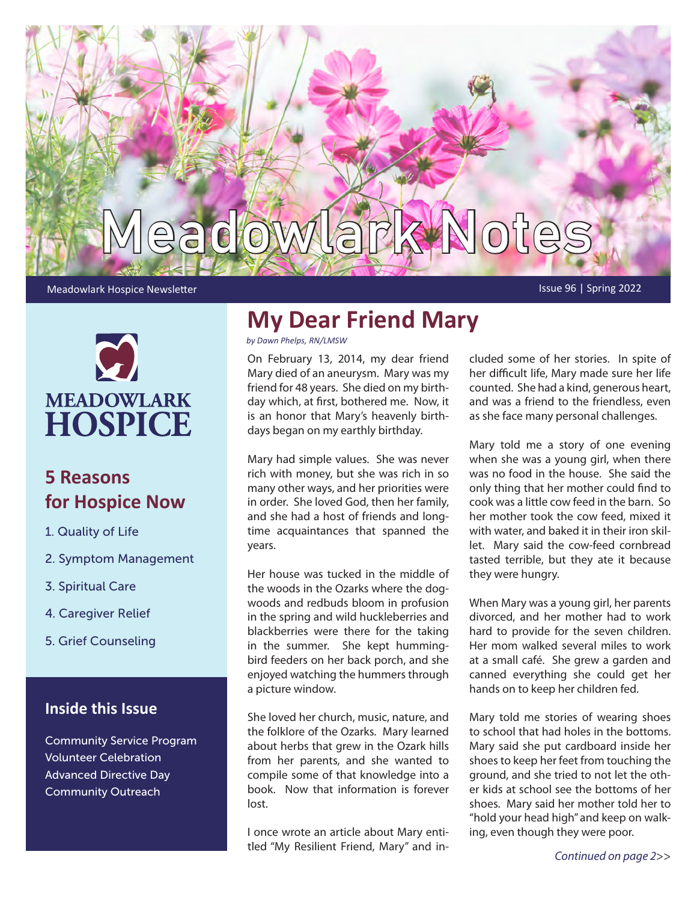

#### Meadowlark Hospice Newsletter **Issue 96 | Spring 2022**



# **5 Reasons for Hospice Now**

- 1. Quality of Life
- 2. Symptom Management
- 3. Spiritual Care
- 4. Caregiver Relief
- 5. Grief Counseling

## **Inside this Issue**

Community Service Program Volunteer Celebration Advanced Directive Day Community Outreach

# **My Dear Friend Mary**

*by Dawn Phelps, RN/LMSW*

On February 13, 2014, my dear friend Mary died of an aneurysm. Mary was my friend for 48 years. She died on my birthday which, at first, bothered me. Now, it is an honor that Mary's heavenly birthdays began on my earthly birthday.

Mary had simple values. She was never rich with money, but she was rich in so many other ways, and her priorities were in order. She loved God, then her family, and she had a host of friends and longtime acquaintances that spanned the years.

Her house was tucked in the middle of the woods in the Ozarks where the dogwoods and redbuds bloom in profusion in the spring and wild huckleberries and blackberries were there for the taking in the summer. She kept hummingbird feeders on her back porch, and she enjoyed watching the hummers through a picture window.

She loved her church, music, nature, and the folklore of the Ozarks. Mary learned about herbs that grew in the Ozark hills from her parents, and she wanted to compile some of that knowledge into a book. Now that information is forever lost.

I once wrote an article about Mary entitled "My Resilient Friend, Mary" and included some of her stories. In spite of her difficult life, Mary made sure her life counted. She had a kind, generous heart, and was a friend to the friendless, even as she face many personal challenges.

Mary told me a story of one evening when she was a young girl, when there was no food in the house. She said the only thing that her mother could find to cook was a little cow feed in the barn. So her mother took the cow feed, mixed it with water, and baked it in their iron skillet. Mary said the cow-feed cornbread tasted terrible, but they ate it because they were hungry.

When Mary was a young girl, her parents divorced, and her mother had to work hard to provide for the seven children. Her mom walked several miles to work at a small café. She grew a garden and canned everything she could get her hands on to keep her children fed.

Mary told me stories of wearing shoes to school that had holes in the bottoms. Mary said she put cardboard inside her shoes to keep her feet from touching the ground, and she tried to not let the other kids at school see the bottoms of her shoes. Mary said her mother told her to "hold your head high" and keep on walking, even though they were poor.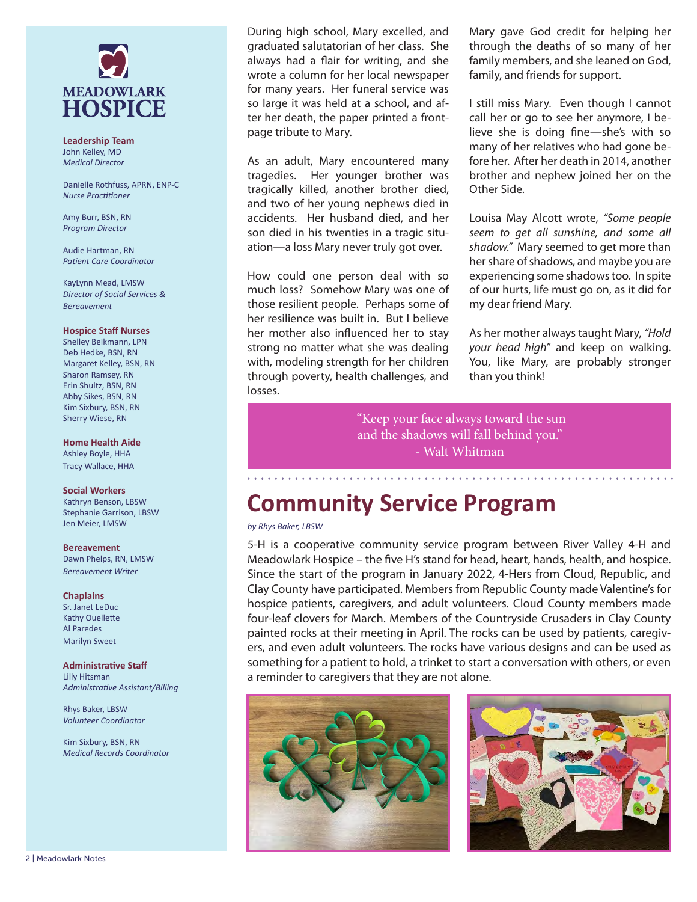

**Leadership Team** John Kelley, MD *Medical Director*

Danielle Rothfuss, APRN, ENP-C *Nurse Practitioner*

Amy Burr, BSN, RN *Program Director*

Audie Hartman, RN *Patient Care Coordinator*

KayLynn Mead, LMSW *Director of Social Services & Bereavement*

#### **Hospice Staff Nurses**

Shelley Beikmann, LPN Deb Hedke, BSN, RN Margaret Kelley, BSN, RN Sharon Ramsey, RN Erin Shultz, BSN, RN Abby Sikes, BSN, RN Kim Sixbury, BSN, RN Sherry Wiese, RN

#### **Home Health Aide**

Ashley Boyle, HHA Tracy Wallace, HHA

#### **Social Workers**

Kathryn Benson, LBSW Stephanie Garrison, LBSW Jen Meier, LMSW

#### **Bereavement**

Dawn Phelps, RN, LMSW *Bereavement Writer*

#### **Chaplains**

Sr. Janet LeDuc Kathy Ouellette Al Paredes Marilyn Sweet

#### **Administrative Staff**

Lilly Hitsman *Administrative Assistant/Billing*

Rhys Baker, LBSW *Volunteer Coordinator*

Kim Sixbury, BSN, RN *Medical Records Coordinator*

During high school, Mary excelled, and graduated salutatorian of her class. She always had a flair for writing, and she wrote a column for her local newspaper for many years. Her funeral service was so large it was held at a school, and after her death, the paper printed a frontpage tribute to Mary.

As an adult, Mary encountered many tragedies. Her younger brother was tragically killed, another brother died, and two of her young nephews died in accidents. Her husband died, and her son died in his twenties in a tragic situation—a loss Mary never truly got over.

How could one person deal with so much loss? Somehow Mary was one of those resilient people. Perhaps some of her resilience was built in. But I believe her mother also influenced her to stay strong no matter what she was dealing with, modeling strength for her children through poverty, health challenges, and losses.

Mary gave God credit for helping her through the deaths of so many of her family members, and she leaned on God, family, and friends for support.

I still miss Mary. Even though I cannot call her or go to see her anymore, I believe she is doing fine—she's with so many of her relatives who had gone before her. After her death in 2014, another brother and nephew joined her on the Other Side.

Louisa May Alcott wrote, *"Some people seem to get all sunshine, and some all shadow."* Mary seemed to get more than her share of shadows, and maybe you are experiencing some shadows too. In spite of our hurts, life must go on, as it did for my dear friend Mary.

As her mother always taught Mary, *"Hold your head high"* and keep on walking. You, like Mary, are probably stronger than you think!

 "Keep your face always toward the sun and the shadows will fall behind you." - Walt Whitman

# **Community Service Program**

#### *by Rhys Baker, LBSW*

5-H is a cooperative community service program between River Valley 4-H and Meadowlark Hospice – the five H's stand for head, heart, hands, health, and hospice. Since the start of the program in January 2022, 4-Hers from Cloud, Republic, and Clay County have participated. Members from Republic County made Valentine's for hospice patients, caregivers, and adult volunteers. Cloud County members made four-leaf clovers for March. Members of the Countryside Crusaders in Clay County painted rocks at their meeting in April. The rocks can be used by patients, caregivers, and even adult volunteers. The rocks have various designs and can be used as something for a patient to hold, a trinket to start a conversation with others, or even a reminder to caregivers that they are not alone.



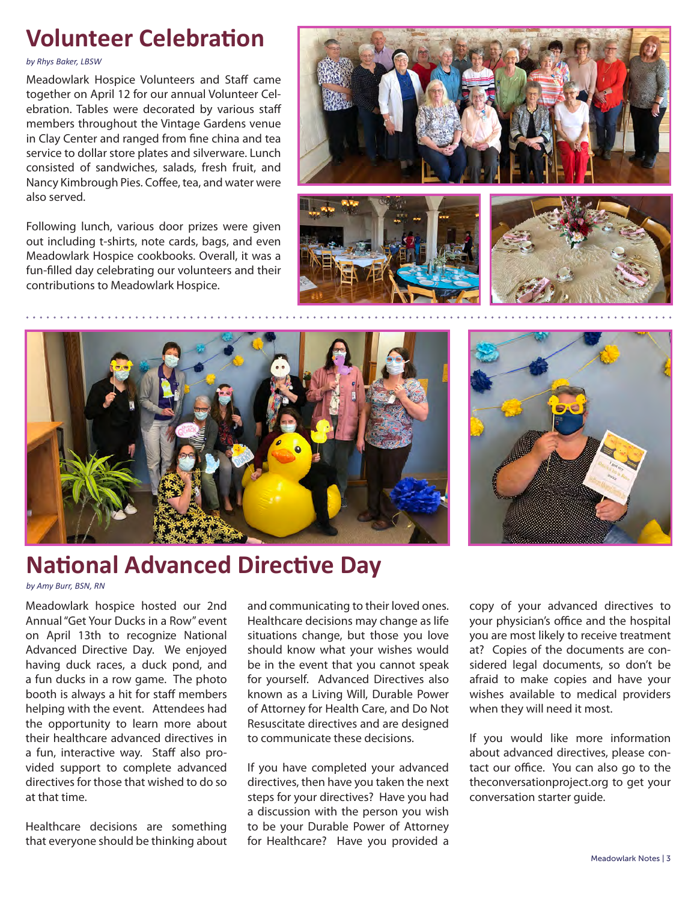# **Volunteer Celebration**

*by Rhys Baker, LBSW*

Meadowlark Hospice Volunteers and Staff came together on April 12 for our annual Volunteer Celebration. Tables were decorated by various staff members throughout the Vintage Gardens venue in Clay Center and ranged from fine china and tea service to dollar store plates and silverware. Lunch consisted of sandwiches, salads, fresh fruit, and Nancy Kimbrough Pies. Coffee, tea, and water were also served.

Following lunch, various door prizes were given out including t-shirts, note cards, bags, and even Meadowlark Hospice cookbooks. Overall, it was a fun-filled day celebrating our volunteers and their contributions to Meadowlark Hospice.











# **National Advanced Directive Day**

*by Amy Burr, BSN, RN*

Meadowlark hospice hosted our 2nd Annual "Get Your Ducks in a Row" event on April 13th to recognize National Advanced Directive Day. We enjoyed having duck races, a duck pond, and a fun ducks in a row game. The photo booth is always a hit for staff members helping with the event. Attendees had the opportunity to learn more about their healthcare advanced directives in a fun, interactive way. Staff also provided support to complete advanced directives for those that wished to do so at that time.

Healthcare decisions are something that everyone should be thinking about and communicating to their loved ones. Healthcare decisions may change as life situations change, but those you love should know what your wishes would be in the event that you cannot speak for yourself. Advanced Directives also known as a Living Will, Durable Power of Attorney for Health Care, and Do Not Resuscitate directives and are designed to communicate these decisions.

If you have completed your advanced directives, then have you taken the next steps for your directives? Have you had a discussion with the person you wish to be your Durable Power of Attorney for Healthcare? Have you provided a copy of your advanced directives to your physician's office and the hospital you are most likely to receive treatment at? Copies of the documents are considered legal documents, so don't be afraid to make copies and have your wishes available to medical providers when they will need it most.

If you would like more information about advanced directives, please contact our office. You can also go to the theconversationproject.org to get your conversation starter guide.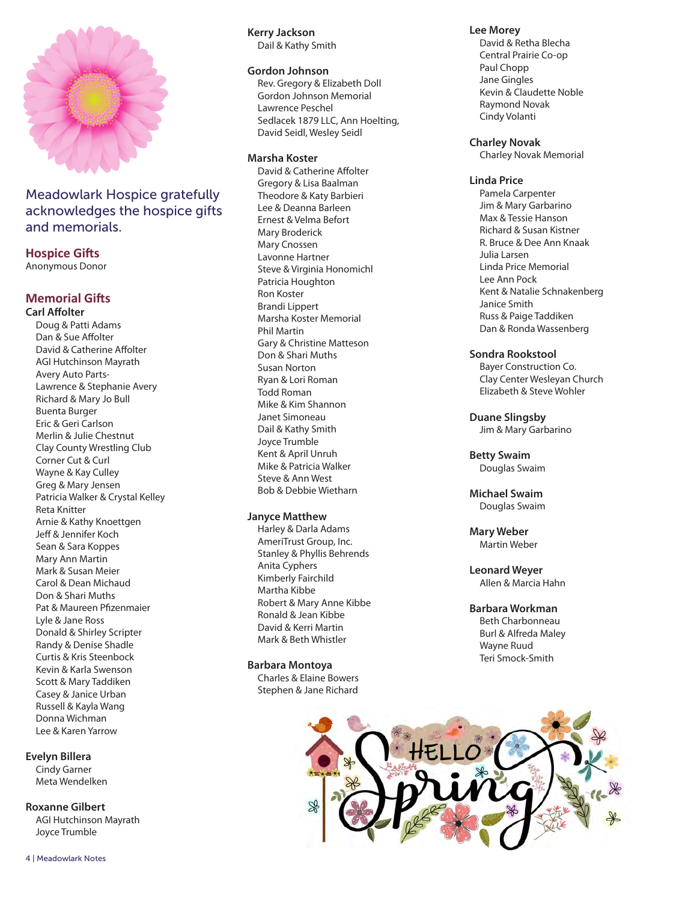

## Meadowlark Hospice gratefully acknowledges the hospice gifts and memorials.

### **Hospice Gifts**

Anonymous Donor

#### **Memorial Gifts Carl Affolter**

Doug & Patti Adams Dan & Sue Affolter David & Catherine Affolter AGI Hutchinson Mayrath Avery Auto Parts-Lawrence & Stephanie Avery Richard & Mary Jo Bull Buenta Burger Eric & Geri Carlson Merlin & Julie Chestnut Clay County Wrestling Club Corner Cut & Curl Wayne & Kay Culley Greg & Mary Jensen Patricia Walker & Crystal Kelley Reta Knitter Arnie & Kathy Knoettgen Jeff & Jennifer Koch Sean & Sara Koppes Mary Ann Martin Mark & Susan Meier Carol & Dean Michaud Don & Shari Muths Pat & Maureen Pfizenmaier Lyle & Jane Ross Donald & Shirley Scripter Randy & Denise Shadle Curtis & Kris Steenbock Kevin & Karla Swenson Scott & Mary Taddiken Casey & Janice Urban Russell & Kayla Wang Donna Wichman Lee & Karen Yarrow

#### **Evelyn Billera**

Cindy Garner Meta Wendelken

**Roxanne Gilbert**

AGI Hutchinson Mayrath Joyce Trumble

4 | Meadowlark Notes

**Kerry Jackson** Dail & Kathy Smith

#### **Gordon Johnson**

Rev. Gregory & Elizabeth Doll Gordon Johnson Memorial Lawrence Peschel Sedlacek 1879 LLC, Ann Hoelting, David Seidl, Wesley Seidl

#### **Marsha Koster**

David & Catherine Affolter Gregory & Lisa Baalman Theodore & Katy Barbieri Lee & Deanna Barleen Ernest & Velma Befort Mary Broderick Mary Cnossen Lavonne Hartner Steve & Virginia Honomichl Patricia Houghton Ron Koster Brandi Lippert Marsha Koster Memorial Phil Martin Gary & Christine Matteson Don & Shari Muths Susan Norton Ryan & Lori Roman Todd Roman Mike & Kim Shannon Janet Simoneau Dail & Kathy Smith Joyce Trumble Kent & April Unruh Mike & Patricia Walker Steve & Ann West Bob & Debbie Wietharn

#### **Janyce Matthew**

Harley & Darla Adams AmeriTrust Group, Inc. Stanley & Phyllis Behrends Anita Cyphers Kimberly Fairchild Martha Kibbe Robert & Mary Anne Kibbe Ronald & Jean Kibbe David & Kerri Martin Mark & Beth Whistler

#### **Barbara Montoya**

Charles & Elaine Bowers Stephen & Jane Richard

#### **Lee Morey**

David & Retha Blecha Central Prairie Co-op Paul Chopp Jane Gingles Kevin & Claudette Noble Raymond Novak Cindy Volanti

#### **Charley Novak**

Charley Novak Memorial

#### **Linda Price**

Pamela Carpenter Jim & Mary Garbarino Max & Tessie Hanson Richard & Susan Kistner R. Bruce & Dee Ann Knaak Julia Larsen Linda Price Memorial Lee Ann Pock Kent & Natalie Schnakenberg Janice Smith Russ & Paige Taddiken Dan & Ronda Wassenberg

#### **Sondra Rookstool**

Bayer Construction Co. Clay Center Wesleyan Church Elizabeth & Steve Wohler

**Duane Slingsby** Jim & Mary Garbarino

**Betty Swaim** Douglas Swaim

**Michael Swaim** Douglas Swaim

**Mary Weber** Martin Weber

**Leonard Weyer** Allen & Marcia Hahn

## **Barbara Workman**

Beth Charbonneau Burl & Alfreda Maley Wayne Ruud Teri Smock-Smith

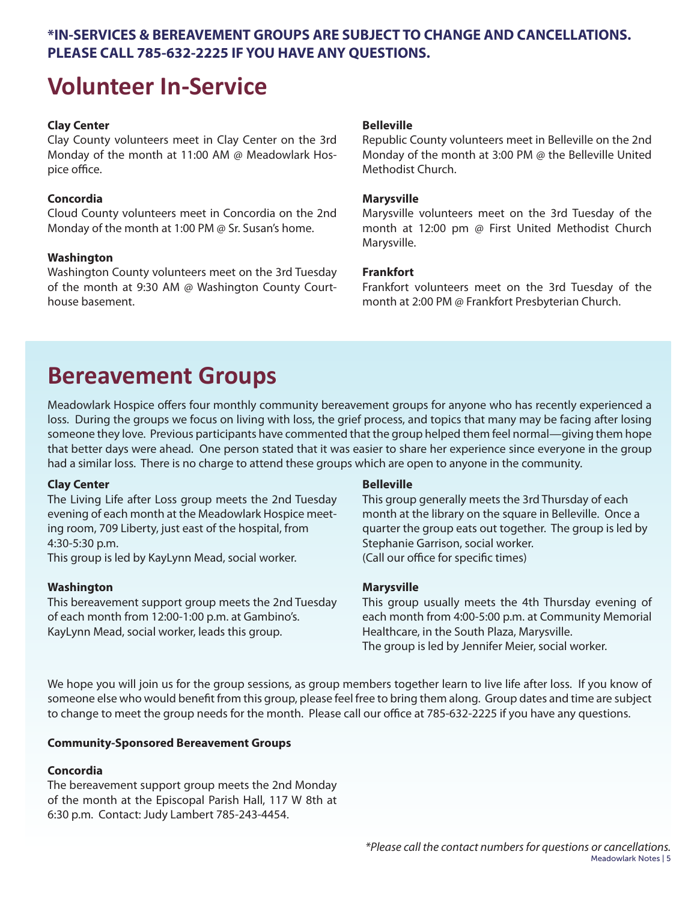## **\*IN-SERVICES & BEREAVEMENT GROUPS ARE SUBJECT TO CHANGE AND CANCELLATIONS. PLEASE CALL 785-632-2225 IF YOU HAVE ANY QUESTIONS.**

# **Volunteer In-Service**

### **Clay Center**

Clay County volunteers meet in Clay Center on the 3rd Monday of the month at 11:00 AM @ Meadowlark Hospice office.

### **Concordia**

Cloud County volunteers meet in Concordia on the 2nd Monday of the month at 1:00 PM @ Sr. Susan's home.

### **Washington**

Washington County volunteers meet on the 3rd Tuesday of the month at 9:30 AM @ Washington County Courthouse basement.

### **Belleville**

Republic County volunteers meet in Belleville on the 2nd Monday of the month at 3:00 PM @ the Belleville United Methodist Church.

#### **Marysville**

Marysville volunteers meet on the 3rd Tuesday of the month at 12:00 pm @ First United Methodist Church Marysville.

### **Frankfort**

Frankfort volunteers meet on the 3rd Tuesday of the month at 2:00 PM @ Frankfort Presbyterian Church.

# **Bereavement Groups**

Meadowlark Hospice offers four monthly community bereavement groups for anyone who has recently experienced a loss. During the groups we focus on living with loss, the grief process, and topics that many may be facing after losing someone they love. Previous participants have commented that the group helped them feel normal—giving them hope that better days were ahead. One person stated that it was easier to share her experience since everyone in the group had a similar loss. There is no charge to attend these groups which are open to anyone in the community.

### **Clay Center**

The Living Life after Loss group meets the 2nd Tuesday evening of each month at the Meadowlark Hospice meeting room, 709 Liberty, just east of the hospital, from 4:30-5:30 p.m.

This group is led by KayLynn Mead, social worker.

### **Washington**

This bereavement support group meets the 2nd Tuesday of each month from 12:00-1:00 p.m. at Gambino's. KayLynn Mead, social worker, leads this group.

### **Belleville**

This group generally meets the 3rd Thursday of each month at the library on the square in Belleville. Once a quarter the group eats out together. The group is led by Stephanie Garrison, social worker. (Call our office for specific times)

### **Marysville**

This group usually meets the 4th Thursday evening of each month from 4:00-5:00 p.m. at Community Memorial Healthcare, in the South Plaza, Marysville. The group is led by Jennifer Meier, social worker.

We hope you will join us for the group sessions, as group members together learn to live life after loss. If you know of someone else who would benefit from this group, please feel free to bring them along. Group dates and time are subject to change to meet the group needs for the month. Please call our office at 785-632-2225 if you have any questions.

### **Community-Sponsored Bereavement Groups**

### **Concordia**

The bereavement support group meets the 2nd Monday of the month at the Episcopal Parish Hall, 117 W 8th at 6:30 p.m. Contact: Judy Lambert 785-243-4454.